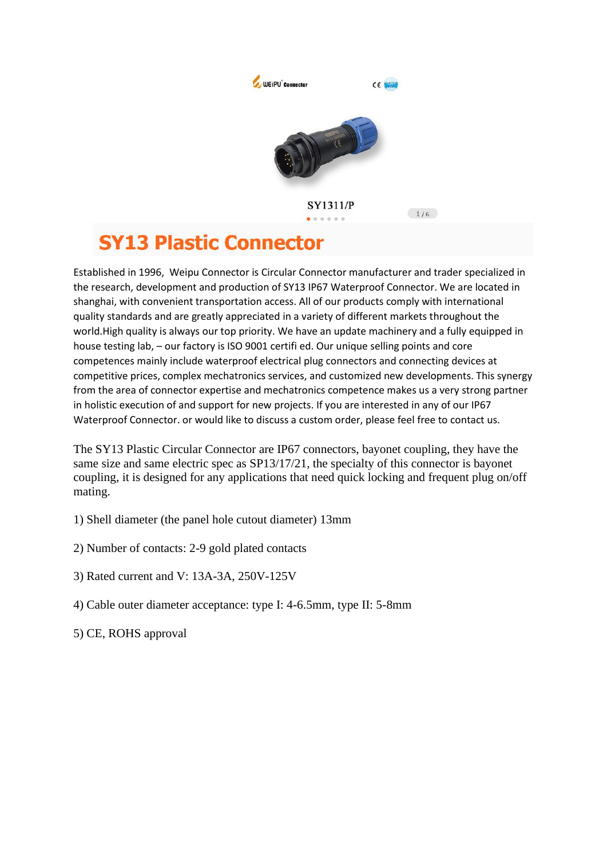

## **SY13 Plastic Connector**

Established in 1996, Weipu Connector is Circular Connector manufacturer and trader specialized in the research, development and production of SY13 IP67 Waterproof Connector. We are located in shanghai, with convenient transportation access. All of our products comply with international quality standards and are greatly appreciated in a variety of different markets throughout the world.High quality is always our top priority. We have an update machinery and a fully equipped in house testing lab, – our factory is ISO 9001 certifi ed. Our unique selling points and core competences mainly include waterproof electrical plug connectors and connecting devices at competitive prices, complex mechatronics services, and customized new developments. This synergy from the area of connector expertise and mechatronics competence makes us a very strong partner in holistic execution of and support for new projects. If you are interested in any of our IP67 Waterproof Connector. or would like to discuss a custom order, please feel free to contact us.

The SY13 Plastic Circular Connector are IP67 connectors, bayonet coupling, they have the same size and same electric spec as SP13/17/21, the specialty of this connector is bayonet coupling, it is designed for any applications that need quick locking and frequent plug on/off mating.

- 1) Shell diameter (the panel hole cutout diameter) 13mm
- 2) Number of contacts: 2-9 gold plated contacts
- 3) Rated current and V: 13A-3A, 250V-125V
- 4) Cable outer diameter acceptance: type I: 4-6.5mm, type II: 5-8mm
- 5) CE, ROHS approval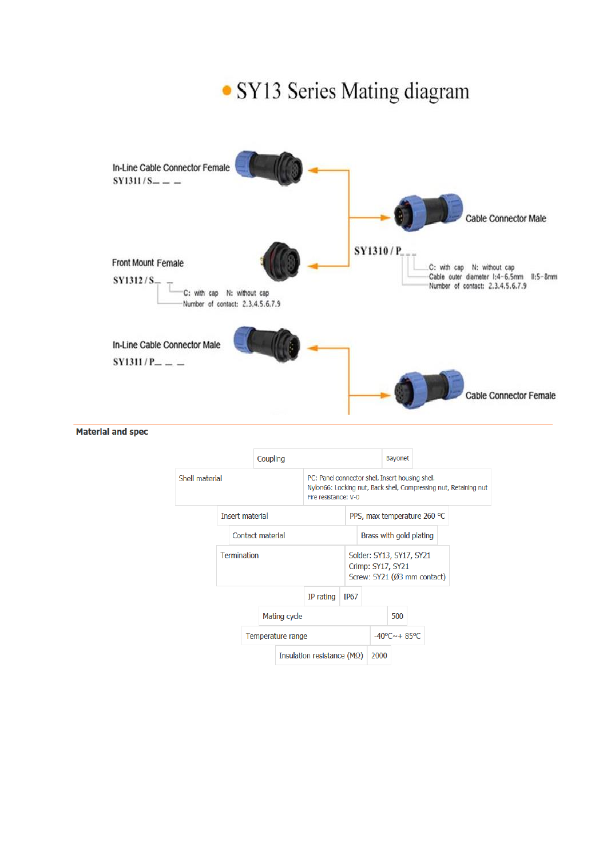

**Material and spec**